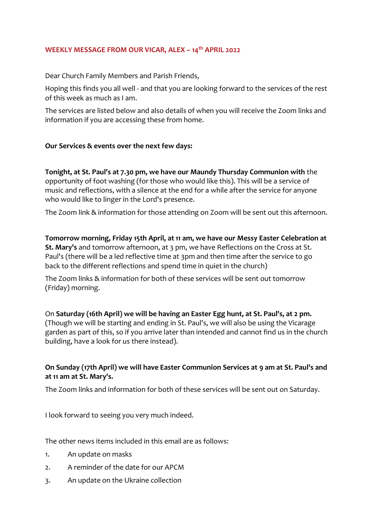## **WEEKLY MESSAGE FROM OUR VICAR, ALEX – 14th APRIL 2022**

Dear Church Family Members and Parish Friends,

Hoping this finds you all well - and that you are looking forward to the services of the rest of this week as much as I am.

The services are listed below and also details of when you will receive the Zoom links and information if you are accessing these from home.

## **Our Services & events over the next few days:**

**Tonight, at St. Paul's at 7.30 pm, we have our Maundy Thursday Communion with** the opportunity of foot washing (for those who would like this). This will be a service of music and reflections, with a silence at the end for a while after the service for anyone who would like to linger in the Lord's presence.

The Zoom link & information for those attending on Zoom will be sent out this afternoon.

**Tomorrow morning, Friday 15th April, at 11 am, we have our Messy Easter Celebration at St. Mary's** and tomorrow afternoon, at 3 pm, we have Reflections on the Cross at St. Paul's (there will be a led reflective time at 3pm and then time after the service to go back to the different reflections and spend time in quiet in the church)

The Zoom links & information for both of these services will be sent out tomorrow (Friday) morning.

On **Saturday (16th April) we will be having an Easter Egg hunt, at St. Paul's, at 2 pm.** 

(Though we will be starting and ending in St. Paul's, we will also be using the Vicarage garden as part of this, so if you arrive later than intended and cannot find us in the church building, have a look for us there instead).

# **On Sunday (17th April) we will have Easter Communion Services at 9 am at St. Paul's and at 11 am at St. Mary's.**

The Zoom links and information for both of these services will be sent out on Saturday.

I look forward to seeing you very much indeed.

The other news items included in this email are as follows:

- 1. An update on masks
- 2. A reminder of the date for our APCM
- 3. An update on the Ukraine collection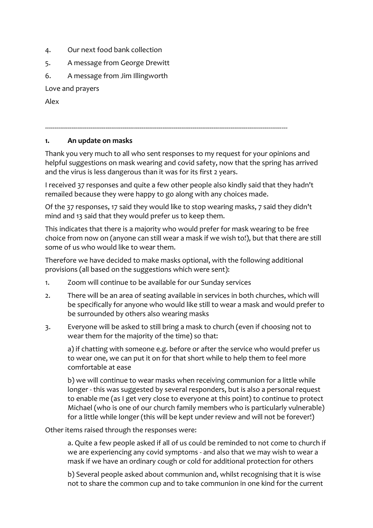- 4. Our next food bank collection
- 5. A message from George Drewitt
- 6. A message from Jim Illingworth

Love and prayers

Alex

#### --------------------------------------------------------------------------------------------------------------------------------

## **1. An update on masks**

Thank you very much to all who sent responses to my request for your opinions and helpful suggestions on mask wearing and covid safety, now that the spring has arrived and the virus is less dangerous than it was for its first 2 years.

I received 37 responses and quite a few other people also kindly said that they hadn't remailed because they were happy to go along with any choices made.

Of the 37 responses, 17 said they would like to stop wearing masks, 7 said they didn't mind and 13 said that they would prefer us to keep them.

This indicates that there is a majority who would prefer for mask wearing to be free choice from now on (anyone can still wear a mask if we wish to!), but that there are still some of us who would like to wear them.

Therefore we have decided to make masks optional, with the following additional provisions (all based on the suggestions which were sent):

- 1. Zoom will continue to be available for our Sunday services
- 2. There will be an area of seating available in services in both churches, which will be specifically for anyone who would like still to wear a mask and would prefer to be surrounded by others also wearing masks
- 3. Everyone will be asked to still bring a mask to church (even if choosing not to wear them for the majority of the time) so that:

a) if chatting with someone e.g. before or after the service who would prefer us to wear one, we can put it on for that short while to help them to feel more comfortable at ease

b) we will continue to wear masks when receiving communion for a little while longer - this was suggested by several responders, but is also a personal request to enable me (as I get very close to everyone at this point) to continue to protect Michael (who is one of our church family members who is particularly vulnerable) for a little while longer (this will be kept under review and will not be forever!)

Other items raised through the responses were:

a. Quite a few people asked if all of us could be reminded to not come to church if we are experiencing any covid symptoms - and also that we may wish to wear a mask if we have an ordinary cough or cold for additional protection for others

b) Several people asked about communion and, whilst recognising that it is wise not to share the common cup and to take communion in one kind for the current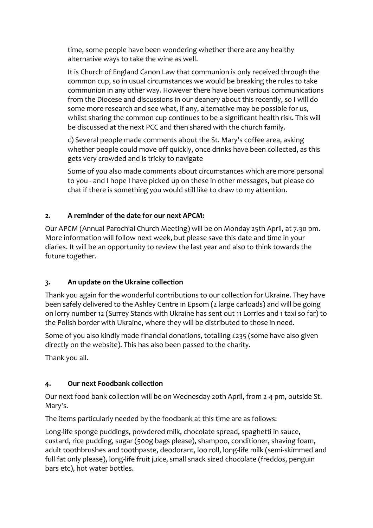time, some people have been wondering whether there are any healthy alternative ways to take the wine as well.

It is Church of England Canon Law that communion is only received through the common cup, so in usual circumstances we would be breaking the rules to take communion in any other way. However there have been various communications from the Diocese and discussions in our deanery about this recently, so I will do some more research and see what, if any, alternative may be possible for us, whilst sharing the common cup continues to be a significant health risk. This will be discussed at the next PCC and then shared with the church family.

c) Several people made comments about the St. Mary's coffee area, asking whether people could move off quickly, once drinks have been collected, as this gets very crowded and is tricky to navigate

Some of you also made comments about circumstances which are more personal to you - and I hope I have picked up on these in other messages, but please do chat if there is something you would still like to draw to my attention.

# **2. A reminder of the date for our next APCM:**

Our APCM (Annual Parochial Church Meeting) will be on Monday 25th April, at 7.30 pm. More information will follow next week, but please save this date and time in your diaries. It will be an opportunity to review the last year and also to think towards the future together.

# **3. An update on the Ukraine collection**

Thank you again for the wonderful contributions to our collection for Ukraine. They have been safely delivered to the Ashley Centre in Epsom (2 large carloads) and will be going on lorry number 12 (Surrey Stands with Ukraine has sent out 11 Lorries and 1 taxi so far) to the Polish border with Ukraine, where they will be distributed to those in need.

Some of you also kindly made financial donations, totalling £235 (some have also given directly on the website). This has also been passed to the charity.

Thank you all.

# **4. Our next Foodbank collection**

Our next food bank collection will be on Wednesday 20th April, from 2-4 pm, outside St. Mary's.

The items particularly needed by the foodbank at this time are as follows:

Long-life sponge puddings, powdered milk, chocolate spread, spaghetti in sauce, custard, rice pudding, sugar (500g bags please), shampoo, conditioner, shaving foam, adult toothbrushes and toothpaste, deodorant, loo roll, long-life milk (semi-skimmed and full fat only please), long-life fruit juice, small snack sized chocolate (freddos, penguin bars etc), hot water bottles.